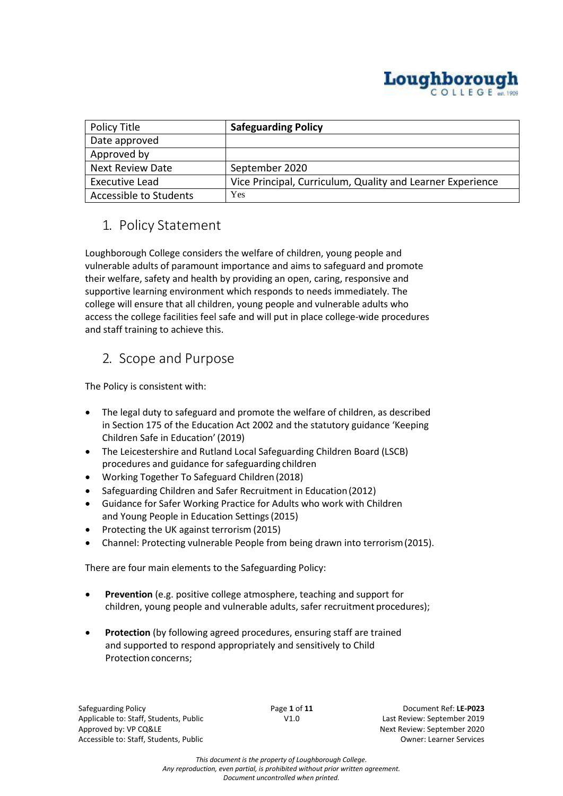

| Policy Title            | <b>Safeguarding Policy</b>                                 |
|-------------------------|------------------------------------------------------------|
| Date approved           |                                                            |
| Approved by             |                                                            |
| <b>Next Review Date</b> | September 2020                                             |
| Executive Lead          | Vice Principal, Curriculum, Quality and Learner Experience |
| Accessible to Students  | Yes                                                        |

## 1. Policy Statement

Loughborough College considers the welfare of children, young people and vulnerable adults of paramount importance and aims to safeguard and promote their welfare, safety and health by providing an open, caring, responsive and supportive learning environment which responds to needs immediately. The college will ensure that all children, young people and vulnerable adults who access the college facilities feel safe and will put in place college-wide procedures and staff training to achieve this.

## 2. Scope and Purpose

The Policy is consistent with:

- The legal duty to safeguard and promote the welfare of children, as described in Section 175 of the Education Act 2002 and the statutory guidance 'Keeping Children Safe in Education' (2019)
- The Leicestershire and Rutland Local Safeguarding Children Board (LSCB) procedures and guidance for safeguarding children
- Working Together To Safeguard Children (2018)
- Safeguarding Children and Safer Recruitment in Education(2012)
- Guidance for Safer Working Practice for Adults who work with Children and Young People in Education Settings(2015)
- Protecting the UK against terrorism (2015)
- Channel: Protecting vulnerable People from being drawn into terrorism(2015).

There are four main elements to the Safeguarding Policy:

- **Prevention** (e.g. positive college atmosphere, teaching and support for children, young people and vulnerable adults, safer recruitment procedures);
- **Protection** (by following agreed procedures, ensuring staff are trained and supported to respond appropriately and sensitively to Child Protection concerns:

Safeguarding Policy Page **1** of **11** Document Ref: **LE-P023** Applicable to: Staff, Students, Public V1.0 Last Review: September 2019 Approved by: VP CQ&LE Approved by: VP CQ&LE Approved by: VP CQ&LE Accessible to: Staff, Students, Public Owner: Learner Services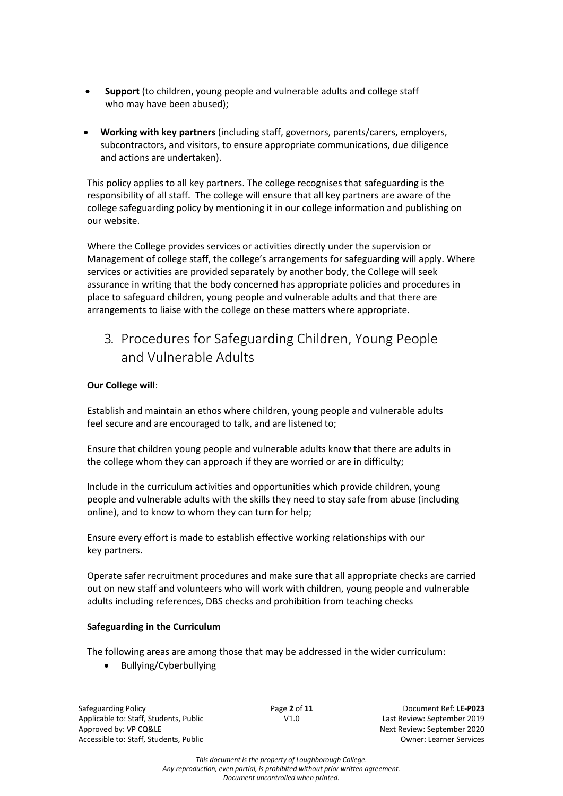- **Support** (to children, young people and vulnerable adults and college staff who may have been abused);
- **Working with key partners** (including staff, governors, parents/carers, employers, subcontractors, and visitors, to ensure appropriate communications, due diligence and actions are undertaken).

This policy applies to all key partners. The college recognises that safeguarding is the responsibility of all staff. The college will ensure that all key partners are aware of the college safeguarding policy by mentioning it in our college information and publishing on our website.

Where the College provides services or activities directly under the supervision or Management of college staff, the college's arrangements for safeguarding will apply. Where services or activities are provided separately by another body, the College will seek assurance in writing that the body concerned has appropriate policies and procedures in place to safeguard children, young people and vulnerable adults and that there are arrangements to liaise with the college on these matters where appropriate.

# 3. Procedures for Safeguarding Children, Young People and Vulnerable Adults

### **Our College will**:

Establish and maintain an ethos where children, young people and vulnerable adults feel secure and are encouraged to talk, and are listened to;

Ensure that children young people and vulnerable adults know that there are adults in the college whom they can approach if they are worried or are in difficulty;

Include in the curriculum activities and opportunities which provide children, young people and vulnerable adults with the skills they need to stay safe from abuse (including online), and to know to whom they can turn for help;

Ensure every effort is made to establish effective working relationships with our key partners.

Operate safer recruitment procedures and make sure that all appropriate checks are carried out on new staff and volunteers who will work with children, young people and vulnerable adults including references, DBS checks and prohibition from teaching checks

#### **Safeguarding in the Curriculum**

The following areas are among those that may be addressed in the wider curriculum:

• Bullying/Cyberbullying

Safeguarding Policy Page **2** of **11** Document Ref: **LE-P023** Applicable to: Staff, Students, Public V1.0 Last Review: September 2019 Approved by: VP CQ&LE Approved by: VP CQ&LE Approved by: VP CQ&LE Accessible to: Staff, Students, Public Owner: Learner Services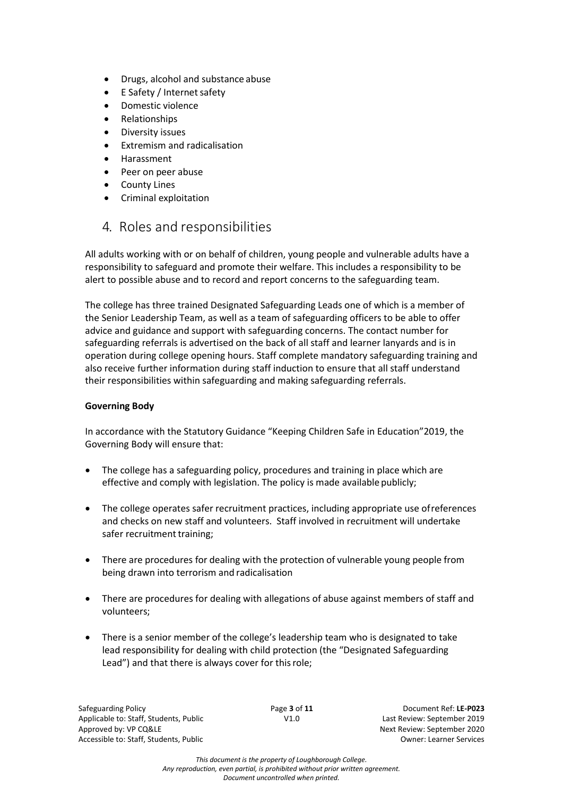- Drugs, alcohol and substance abuse
- E Safety / Internet safety
- Domestic violence
- Relationships
- Diversity issues
- Extremism and radicalisation
- Harassment
- Peer on peer abuse
- County Lines
- Criminal exploitation

### 4. Roles and responsibilities

All adults working with or on behalf of children, young people and vulnerable adults have a responsibility to safeguard and promote their welfare. This includes a responsibility to be alert to possible abuse and to record and report concerns to the safeguarding team.

The college has three trained Designated Safeguarding Leads one of which is a member of the Senior Leadership Team, as well as a team of safeguarding officers to be able to offer advice and guidance and support with safeguarding concerns. The contact number for safeguarding referrals is advertised on the back of all staff and learner lanyards and is in operation during college opening hours. Staff complete mandatory safeguarding training and also receive further information during staff induction to ensure that all staff understand their responsibilities within safeguarding and making safeguarding referrals.

#### **Governing Body**

In accordance with the Statutory Guidance "Keeping Children Safe in Education"2019, the Governing Body will ensure that:

- The college has a safeguarding policy, procedures and training in place which are effective and comply with legislation. The policy is made available publicly;
- The college operates safer recruitment practices, including appropriate use ofreferences and checks on new staff and volunteers. Staff involved in recruitment will undertake safer recruitment training;
- There are procedures for dealing with the protection of vulnerable young people from being drawn into terrorism and radicalisation
- There are procedures for dealing with allegations of abuse against members of staff and volunteers;
- There is a senior member of the college's leadership team who is designated to take lead responsibility for dealing with child protection (the "Designated Safeguarding Lead") and that there is always cover for thisrole;

Safeguarding Policy Page **3** of **11** Document Ref: **LE-P023** Applicable to: Staff, Students, Public V1.0 Last Review: September 2019 Approved by: VP CQ&LE Approved by: VP CQ&LE Approved by: VP CQ&LE Accessible to: Staff, Students, Public **Accessible to: Staff, Students, Public Accessible to: Staff, Students, Public Accessible over a state of the United States of the United States of the United States of the United Sta**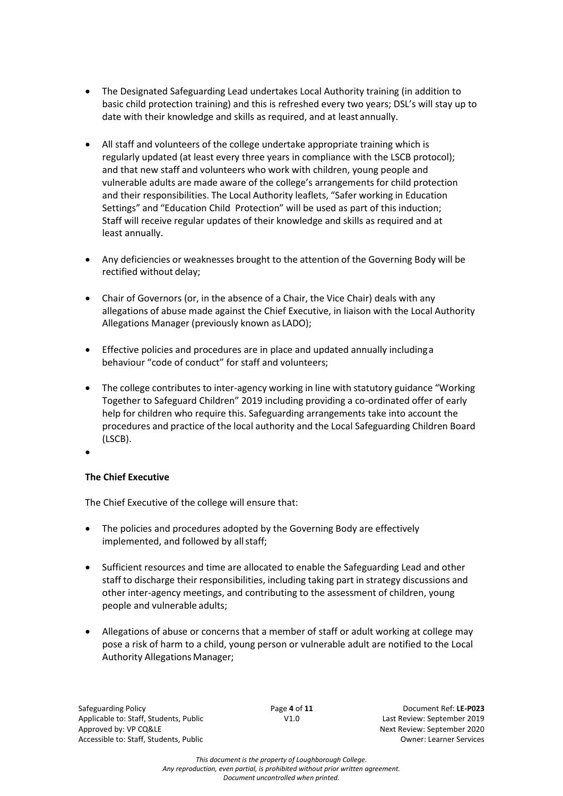- The Designated Safeguarding Lead undertakes Local Authority training (in addition to basic child protection training) and this is refreshed every two years; DSL's will stay up to date with their knowledge and skills as required, and at least annually.
- All staff and volunteers of the college undertake appropriate training which is regularly updated (at least every three years in compliance with the LSCB protocol); and that new staff and volunteers who work with children, young people and vulnerable adults are made aware of the college's arrangements for child protection and their responsibilities. The Local Authority leaflets, "Safer working in Education Settings" and "Education Child Protection" will be used as part of this induction; Staff will receive regular updates of their knowledge and skills as required and at least annually.
- Any deficiencies or weaknesses brought to the attention of the Governing Body will be rectified without delay;
- Chair of Governors (or, in the absence of a Chair, the Vice Chair) deals with any allegations of abuse made against the Chief Executive, in liaison with the Local Authority Allegations Manager (previously known as LADO);
- Effective policies and procedures are in place and updated annually includinga behaviour "code of conduct" for staff and volunteers;
- The college contributes to inter-agency working in line with statutory guidance "Working Together to Safeguard Children" 2019 including providing a co-ordinated offer of early help for children who require this. Safeguarding arrangements take into account the procedures and practice of the local authority and the Local Safeguarding Children Board (LSCB).
- •

### **The Chief Executive**

The Chief Executive of the college will ensure that:

- The policies and procedures adopted by the Governing Body are effectively implemented, and followed by all staff;
- Sufficient resources and time are allocated to enable the Safeguarding Lead and other staff to discharge their responsibilities, including taking part in strategy discussions and other inter-agency meetings, and contributing to the assessment of children, young people and vulnerable adults;
- Allegations of abuse or concerns that a member of staff or adult working at college may pose a risk of harm to a child, young person or vulnerable adult are notified to the Local Authority Allegations Manager;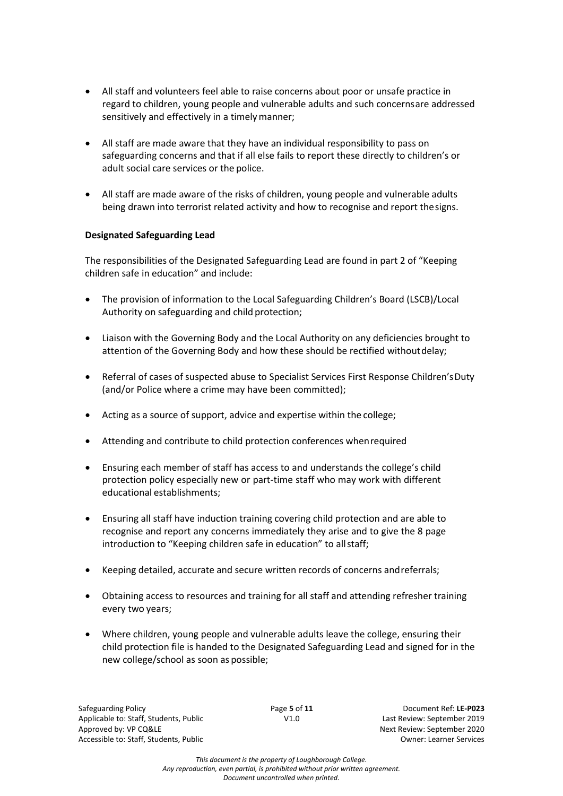- All staff and volunteers feel able to raise concerns about poor or unsafe practice in regard to children, young people and vulnerable adults and such concernsare addressed sensitively and effectively in a timely manner;
- All staff are made aware that they have an individual responsibility to pass on safeguarding concerns and that if all else fails to report these directly to children's or adult social care services or the police.
- All staff are made aware of the risks of children, young people and vulnerable adults being drawn into terrorist related activity and how to recognise and report thesigns.

#### **Designated Safeguarding Lead**

The responsibilities of the Designated Safeguarding Lead are found in part 2 of "Keeping children safe in education" and include:

- The provision of information to the Local Safeguarding Children's Board (LSCB)/Local Authority on safeguarding and child protection;
- Liaison with the Governing Body and the Local Authority on any deficiencies brought to attention of the Governing Body and how these should be rectified withoutdelay;
- Referral of cases of suspected abuse to Specialist Services First Response Children'sDuty (and/or Police where a crime may have been committed);
- Acting as a source of support, advice and expertise within the college;
- Attending and contribute to child protection conferences whenrequired
- Ensuring each member of staff has access to and understands the college's child protection policy especially new or part-time staff who may work with different educational establishments;
- Ensuring all staff have induction training covering child protection and are able to recognise and report any concerns immediately they arise and to give the 8 page introduction to "Keeping children safe in education" to allstaff;
- Keeping detailed, accurate and secure written records of concerns andreferrals;
- Obtaining access to resources and training for all staff and attending refresher training every two years;
- Where children, young people and vulnerable adults leave the college, ensuring their child protection file is handed to the Designated Safeguarding Lead and signed for in the new college/school as soon as possible;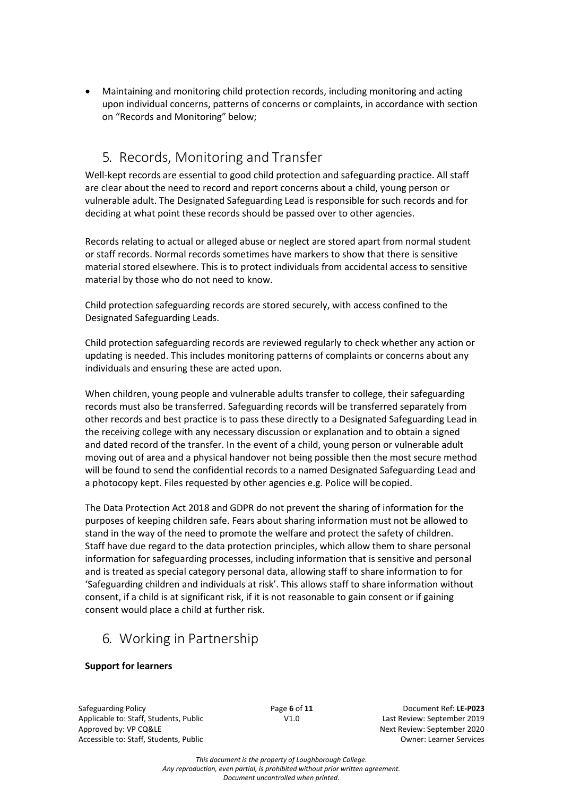• Maintaining and monitoring child protection records, including monitoring and acting upon individual concerns, patterns of concerns or complaints, in accordance with section on "Records and Monitoring" below;

## 5. Records, Monitoring and Transfer

Well-kept records are essential to good child protection and safeguarding practice. All staff are clear about the need to record and report concerns about a child, young person or vulnerable adult. The Designated Safeguarding Lead is responsible for such records and for deciding at what point these records should be passed over to other agencies.

Records relating to actual or alleged abuse or neglect are stored apart from normal student or staff records. Normal records sometimes have markers to show that there is sensitive material stored elsewhere. This is to protect individuals from accidental access to sensitive material by those who do not need to know.

Child protection safeguarding records are stored securely, with access confined to the Designated Safeguarding Leads.

Child protection safeguarding records are reviewed regularly to check whether any action or updating is needed. This includes monitoring patterns of complaints or concerns about any individuals and ensuring these are acted upon.

When children, young people and vulnerable adults transfer to college, their safeguarding records must also be transferred. Safeguarding records will be transferred separately from other records and best practice is to pass these directly to a Designated Safeguarding Lead in the receiving college with any necessary discussion or explanation and to obtain a signed and dated record of the transfer. In the event of a child, young person or vulnerable adult moving out of area and a physical handover not being possible then the most secure method will be found to send the confidential records to a named Designated Safeguarding Lead and a photocopy kept. Files requested by other agencies e.g. Police will becopied.

The Data Protection Act 2018 and GDPR do not prevent the sharing of information for the purposes of keeping children safe. Fears about sharing information must not be allowed to stand in the way of the need to promote the welfare and protect the safety of children. Staff have due regard to the data protection principles, which allow them to share personal information for safeguarding processes, including information that is sensitive and personal and is treated as special category personal data, allowing staff to share information to for 'Safeguarding children and individuals at risk'. This allows staff to share information without consent, if a child is at significant risk, if it is not reasonable to gain consent or if gaining consent would place a child at further risk.

## 6. Working in Partnership

### **Support for learners**

Safeguarding Policy Page **6** of **11** Document Ref: **LE-P023** Applicable to: Staff, Students, Public V1.0 Last Review: September 2019 Approved by: VP CQ&LE Approved by: VP CQ&LE Approved by: VP CQ&LE Accessible to: Staff, Students, Public Owner: Learner Services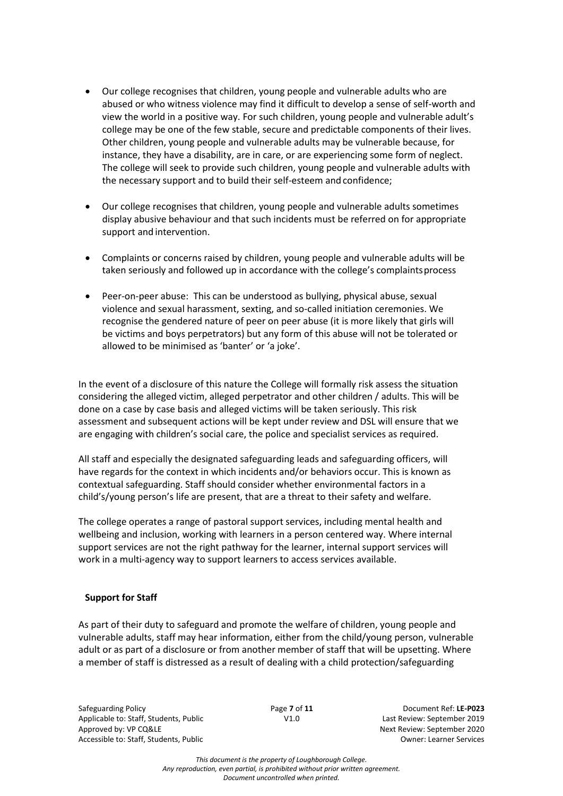- Our college recognises that children, young people and vulnerable adults who are abused or who witness violence may find it difficult to develop a sense of self-worth and view the world in a positive way. For such children, young people and vulnerable adult's college may be one of the few stable, secure and predictable components of their lives. Other children, young people and vulnerable adults may be vulnerable because, for instance, they have a disability, are in care, or are experiencing some form of neglect. The college will seek to provide such children, young people and vulnerable adults with the necessary support and to build their self-esteem and confidence;
- Our college recognises that children, young people and vulnerable adults sometimes display abusive behaviour and that such incidents must be referred on for appropriate support and intervention.
- Complaints or concerns raised by children, young people and vulnerable adults will be taken seriously and followed up in accordance with the college's complaintsprocess
- Peer-on-peer abuse: This can be understood as bullying, physical abuse, sexual violence and sexual harassment, sexting, and so-called initiation ceremonies. We recognise the gendered nature of peer on peer abuse (it is more likely that girls will be victims and boys perpetrators) but any form of this abuse will not be tolerated or allowed to be minimised as 'banter' or 'a joke'.

In the event of a disclosure of this nature the College will formally risk assess the situation considering the alleged victim, alleged perpetrator and other children / adults. This will be done on a case by case basis and alleged victims will be taken seriously. This risk assessment and subsequent actions will be kept under review and DSL will ensure that we are engaging with children's social care, the police and specialist services as required.

All staff and especially the designated safeguarding leads and safeguarding officers, will have regards for the context in which incidents and/or behaviors occur. This is known as contextual safeguarding. Staff should consider whether environmental factors in a child's/young person's life are present, that are a threat to their safety and welfare.

The college operates a range of pastoral support services, including mental health and wellbeing and inclusion, working with learners in a person centered way. Where internal support services are not the right pathway for the learner, internal support services will work in a multi-agency way to support learners to access services available.

#### **Support for Staff**

As part of their duty to safeguard and promote the welfare of children, young people and vulnerable adults, staff may hear information, either from the child/young person, vulnerable adult or as part of a disclosure or from another member of staff that will be upsetting. Where a member of staff is distressed as a result of dealing with a child protection/safeguarding

Safeguarding Policy Page **7** of **11** Document Ref: **LE-P023** Applicable to: Staff, Students, Public V1.0 Last Review: September 2019 Approved by: VP CQ&LE Approved by: VP CQ&LE Approved by: VP CQ&LE Accessible to: Staff, Students, Public **Accessible to: Staff, Students, Public Accessible to: Staff, Students, Public Accessible over a state of the United States of the United States of the United States of the United Sta**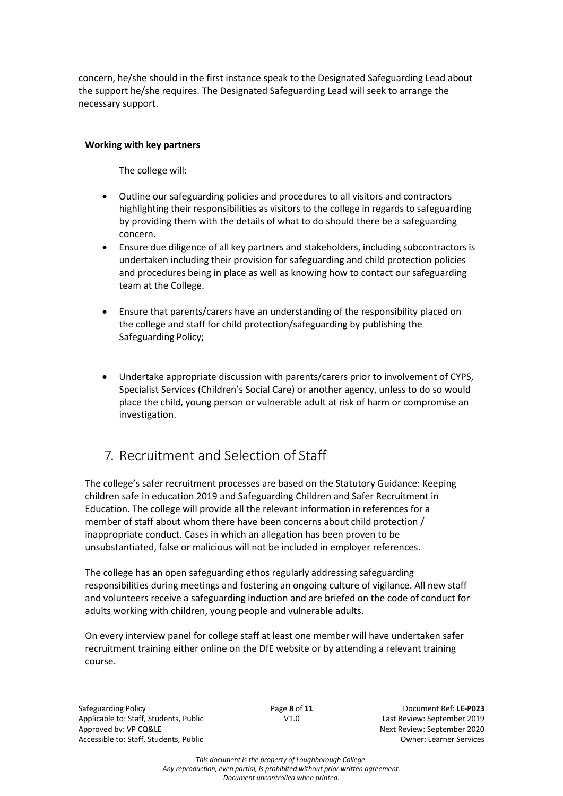concern, he/she should in the first instance speak to the Designated Safeguarding Lead about the support he/she requires. The Designated Safeguarding Lead will seek to arrange the necessary support.

### **Working with key partners**

The college will:

- Outline our safeguarding policies and procedures to all visitors and contractors highlighting their responsibilities as visitors to the college in regards to safeguarding by providing them with the details of what to do should there be a safeguarding concern.
- Ensure due diligence of all key partners and stakeholders, including subcontractorsis undertaken including their provision for safeguarding and child protection policies and procedures being in place as well as knowing how to contact our safeguarding team at the College.
- Ensure that parents/carers have an understanding of the responsibility placed on the college and staff for child protection/safeguarding by publishing the Safeguarding Policy;
- Undertake appropriate discussion with parents/carers prior to involvement of CYPS, Specialist Services (Children's Social Care) or another agency, unless to do so would place the child, young person or vulnerable adult at risk of harm or compromise an investigation.

## 7. Recruitment and Selection of Staff

The college's safer recruitment processes are based on the Statutory Guidance: Keeping children safe in education 2019 and Safeguarding Children and Safer Recruitment in Education. The college will provide all the relevant information in references for a member of staff about whom there have been concerns about child protection / inappropriate conduct. Cases in which an allegation has been proven to be unsubstantiated, false or malicious will not be included in employer references.

The college has an open safeguarding ethos regularly addressing safeguarding responsibilities during meetings and fostering an ongoing culture of vigilance. All new staff and volunteers receive a safeguarding induction and are briefed on the code of conduct for adults working with children, young people and vulnerable adults.

On every interview panel for college staff at least one member will have undertaken safer recruitment training either online on the DfE website or by attending a relevant training course.

Safeguarding Policy Page **8** of **11** Document Ref: **LE-P023** Applicable to: Staff, Students, Public V1.0 Last Review: September 2019 Approved by: VP CQ&LE Approved by: VP CQ&LE Approved by: VP CQ&LE Accessible to: Staff, Students, Public Owner: Learner Services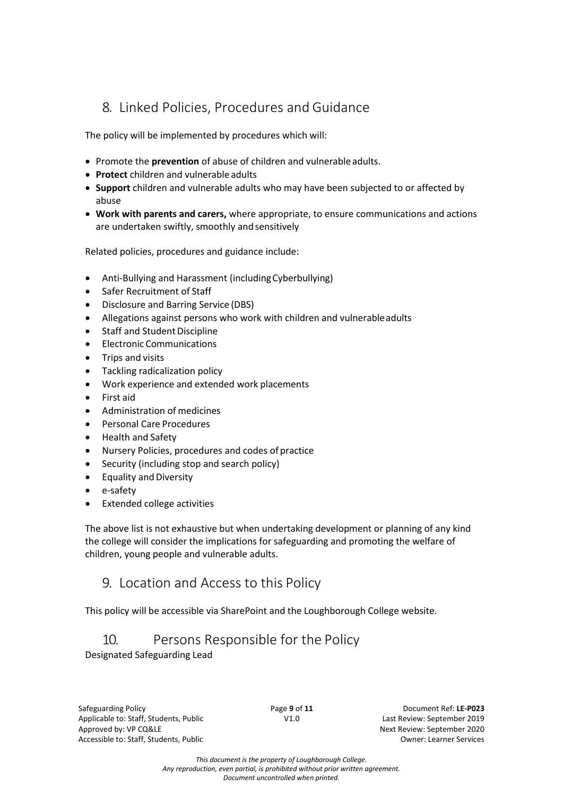## 8. Linked Policies, Procedures and Guidance

The policy will be implemented by procedures which will:

- Promote the **prevention** of abuse of children and vulnerableadults.
- **Protect** children and vulnerable adults
- **Support** children and vulnerable adults who may have been subjected to or affected by abuse
- **Work with parents and carers,** where appropriate, to ensure communications and actions are undertaken swiftly, smoothly and sensitively

Related policies, procedures and guidance include:

- Anti-Bullying and Harassment (includingCyberbullying)
- Safer Recruitment of Staff
- Disclosure and Barring Service (DBS)
- Allegations against persons who work with children and vulnerableadults
- Staff and Student Discipline
- Electronic Communications
- Trips and visits
- Tackling radicalization policy
- Work experience and extended work placements
- First aid
- Administration of medicines
- Personal Care Procedures
- Health and Safety
- Nursery Policies, procedures and codes of practice
- Security (including stop and search policy)
- **Equality and Diversity**
- e-safety
- Extended college activities

The above list is not exhaustive but when undertaking development or planning of any kind the college will consider the implications for safeguarding and promoting the welfare of children, young people and vulnerable adults.

### 9. Location and Access to this Policy

This policy will be accessible via SharePoint and the Loughborough College website.

## 10. Persons Responsible for the Policy

Designated Safeguarding Lead

Safeguarding Policy Page **9** of **11** Document Ref: **LE-P023** Applicable to: Staff, Students, Public V1.0 Last Review: September 2019 Approved by: VP CQ&LE Approved by: VP CQ&LE Approved by: VP CQ&LE Accessible to: Staff, Students, Public Owner: Learner Services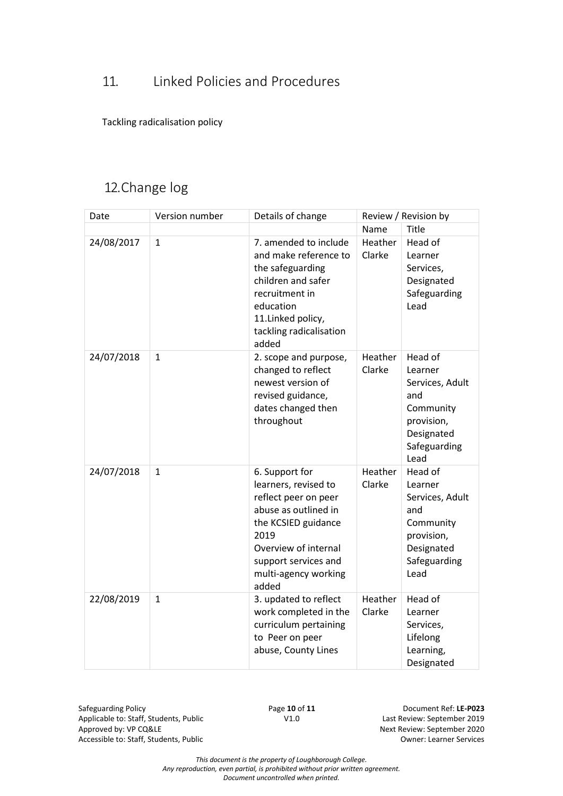# 11. Linked Policies and Procedures

Tackling radicalisation policy

# 12.Change log

| Date       | Version number | Details of change                                                                                                                                                                                      | Review / Revision by |                                                                                                               |
|------------|----------------|--------------------------------------------------------------------------------------------------------------------------------------------------------------------------------------------------------|----------------------|---------------------------------------------------------------------------------------------------------------|
|            |                |                                                                                                                                                                                                        | Name                 | <b>Title</b>                                                                                                  |
| 24/08/2017 | $\mathbf{1}$   | 7. amended to include<br>and make reference to<br>the safeguarding<br>children and safer<br>recruitment in<br>education<br>11.Linked policy,<br>tackling radicalisation<br>added                       | Heather<br>Clarke    | Head of<br>Learner<br>Services,<br>Designated<br>Safeguarding<br>Lead                                         |
| 24/07/2018 | $\mathbf{1}$   | 2. scope and purpose,<br>changed to reflect<br>newest version of<br>revised guidance,<br>dates changed then<br>throughout                                                                              | Heather<br>Clarke    | Head of<br>Learner<br>Services, Adult<br>and<br>Community<br>provision,<br>Designated<br>Safeguarding<br>Lead |
| 24/07/2018 | $\mathbf{1}$   | 6. Support for<br>learners, revised to<br>reflect peer on peer<br>abuse as outlined in<br>the KCSIED guidance<br>2019<br>Overview of internal<br>support services and<br>multi-agency working<br>added | Heather<br>Clarke    | Head of<br>Learner<br>Services, Adult<br>and<br>Community<br>provision,<br>Designated<br>Safeguarding<br>Lead |
| 22/08/2019 | $\mathbf{1}$   | 3. updated to reflect<br>work completed in the<br>curriculum pertaining<br>to Peer on peer<br>abuse, County Lines                                                                                      | Heather<br>Clarke    | Head of<br>Learner<br>Services,<br>Lifelong<br>Learning,<br>Designated                                        |

Safeguarding Policy<br>
Applicable to: Staff, Students, Public<br>
V1.0 V1.0 Last Review: September 2019 Applicable to: Staff, Students, Public<br>Approved by: VP CQ&LE Accessible to: Staff, Students, Public **Accessible to: Staff, Students, Public** Accessible of Services

Next Review: September 2020

*This document is the property of Loughborough College.*

*Any reproduction, even partial, is prohibited without prior written agreement. Document uncontrolled when printed.*